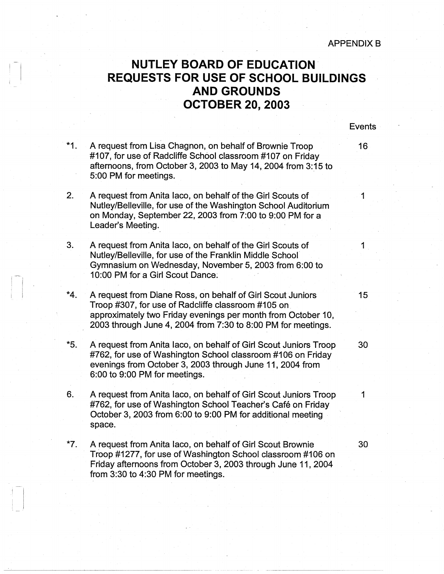Events

## **NUTLEY BOARD OF EDUCATION REQUESTS FOR USE OF SCHOOL BUILDINGS AND GROUNDS OCTOBER 20, 2003**

 $\mathbb{R}$ I

> \*1. 2. 3. \*4. \*5. 6. \*7. A request from Lisa Chagnon, on behalf of Brownie Troop 16 #107, for use of Radcliffe School classroom #107 on Friday afternoons, from October 3, 2003 to May 14, 2004 from 3:15 to 5:00 PM for meetings. A request from Anita Iaco, on behalf of the Girl Scouts of 1 Nutley/Belleville, for use of the Washington School Auditorium on Monday, September 22, 2003 from 7:00 to 9:00 PM for a Leader's Meeting. A request from Anita laco, on behalf of the Girl Scouts of 1 Nutley/Belleville, for use of the Franklin Middle School· Gymnasium on Wednesday, November 5, 2003 from 6:00 to 10:00 PM for a Girl Scout Dance: A request from Diane Ross, on behalf of Girl Scout Juniors 15 Troop #307, for use of Radcliffe classroom #105 on\_ approximately two Friday evenings per month from October 10, 2003 through June 4, 2004 from 7:30 to 8:00 PM for meetings. A request from Anita laco, on behalf of Girl Scout Juniors Troop 30 #762, for use of Washington School classroom #106 on Friday evenings from October 3, 2003 through June 11, 2004 from 6:00 to 9:00 PM for meetings. A request from Anita Iaco, on behalf of Girl Scout Juniors Troop 1 #762, for use of Washington School Teacher's Café on Friday October 3, 2003 from 6:00 to 9:00 PM for additional meeting space. A request from Anita laco, on behalf of Girl Scout Brownie 30 Troop #1277, for use of Washington School classroom #106 on Friday afternoons from October 3, 2003 through June 11, 2004 from 3:30 to 4:30 PM for meetings.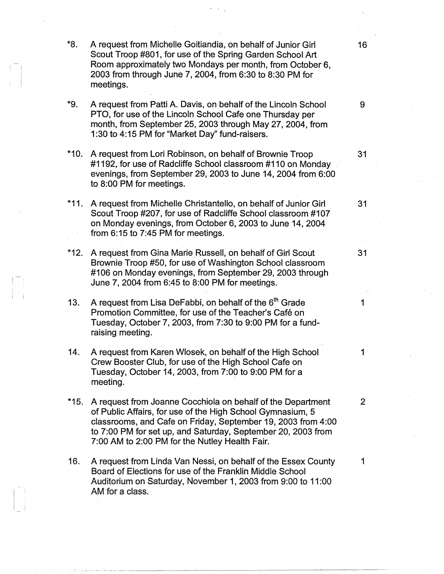\*8. A request from Michelle Goitiandia, on behalf of Junior Girl 16 Scout Troop #801, for use of the Spring Garden School Art Room approximately two Mondays per month, from October 6, 2003 from through June 7, 2004, from 6:30 to 8:30 PM for meetings.

- \*9. A request from Patti A. Davis, on behalf of the Lincoln School 9 PTO, for use of the Lincoln School Cafe one Thursday per month, from September 25, 2003 through May 27, 2004, from 1 :30 to 4:15 PM for "Market Day" fund-raisers.
- \*10. A request from Lori Robinson, on behalf of Brownie Troop 31 #1192, for use of Radcliffe School classroom #110 on Monday evenings, from September 29, 2003 to June 14, 2004 from 6:00 to 8:00 PM for meetings.
- \*11. A request from Michelle Christantello, on behalf of Junior Girl 31 Scout Troop #207, for use of Radcliffe School classroom #107 on Monday evenings, from October 6, 2003 to June 14, 2004 from 6:15 to 7:45 PM for meetings.
- \*12. A request from Gina Marie Russell, on behalf of Girl Scout 31 Brownie Troop #50, for use of Washington School classroom #106 on Monday evenings, from September 29, 2003 through June 7, 2004 from 6:45 to 8:00 PM for meetings.
- 13. A request from Lisa DeFabbi, on behalf of the  $6<sup>th</sup>$  Grade 1 Promotion Committee, for use of the Teacher's Café on Tuesday, October 7, 2003, from 7:30 to 9:00 PM for a fundraising meeting.
- 14. A request from Karen Wlosek, on behalf of the High School 1 Crew Booster Club, for use of the High School Cafe on Tuesday, October 14, 2003, from  $7:00$  to  $9:00$  PM for a meeting.
- \*15. A request from Joanne Cocchiola on behalf of the Department 2 of Public Affairs, for use of the High School Gymnasium, 5 classrooms, and Cafe on Friday, September 19, 2003 from 4:00 to 7:00 PM for set up, and Saturday, September 20, 2003 from 7:00 AM to 2:00 PM for the Nutley Health Fair.
- 16. A request from Linda Van Nessi, on behalf of the Essex County 1 Board of Elections for use of the Franklin Middle School Auditorium on Saturday, November 1, 2003 from 9:00 to 11 :00 AM for a class.

.<br>1947 - Harriet Land, amerikansk politiker († 1908)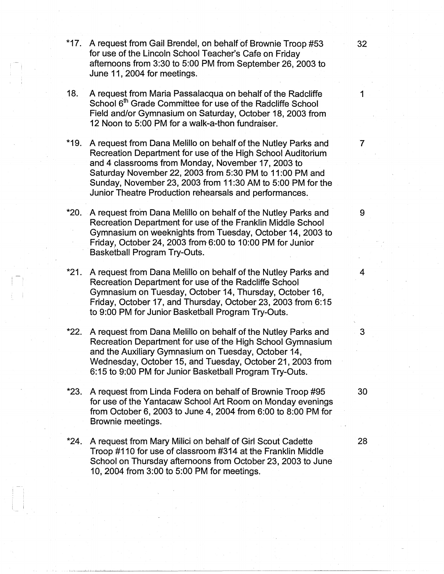- \*17. A request from Gail Brendel, on behalf of Brownie Troop #53 **32**  for use of the Lincoln School Teacher's Cafe on Friday afternoons from 3:30 to 5:00 PM from September 26, 2003 to June 11, 2004 for meetings.
- 18. A request from Maria Passalacqua on behalf of the Radcliffe 1 School 6<sup>th</sup> Grade Committee for use of the Radcliffe School Field and/or Gymnasium on Saturday, October 18, 2003 from 12 Noon to 5:00 PM for a walk-a-thon fundraiser.
- \*19. A request from Dana Melillo on behalf of the Nutley Parks and 7 Recreation Department for use of the High School Auditorium and 4 classrooms from Monday, November 17, 2003 to Saturday November 22, 2003 from 5:30 PM to 11 :00 PM and Sunday, November 23, 2003 from 11 :30 AM to 5:00 PM for the Junior Theatre Production rehearsals and performances.
- \*20. A request from Dana Melillo on behalf of the Nutley Parks and 9 Recreation Department for use of the Franklin Middle School Gymnasium on weeknights from Tuesday, October 14, 2003 to Friday, October 24, 2003 from  $6:00$  to 10:00 PM for Junior Basketball Program Try-Outs.
- \*21. A request from Dana Melillo on behalf of the Nutley Parks and 4 Recreation Department for use of the Radcliffe School Gymnasium on Tuesday, October 14, Thursday, October 16, Friday, October 17, and Thursday, October 23, 2003 from 6:15 to 9:00 PM for Junior Basketball Program Try-Outs.
- **\*22.** A request from Dana Melillo on behalf of the Nutley Parks and 3 Recreation Department for use of the High School Gymnasium and the Auxiliary Gymnasium on Tuesday, October 14, Wednesday, October 15, and Tuesday, October 21, 2003 from 6: 15 to 9:00 PM for Junior Basketball Program Try-Outs.
- **\*23.** A request from Linda Fodera on behalf of Brownie Troop #95 30 for use of the Yantacaw School Art Room on Monday evenings from October 6, 2003 to June 4, 2004 from 6:00 to 8:00 PM for Brownie meetings.
- **\*24.** A request from Mary Milici on behalf of Girl Scout Cadette **28**  Troop #110 for use of classroom #314 at the Franklin Middle School on Thursday afternoons from October 23, 2003 to June 10, 2004 from 3:00 to 5:00 PM for meetings.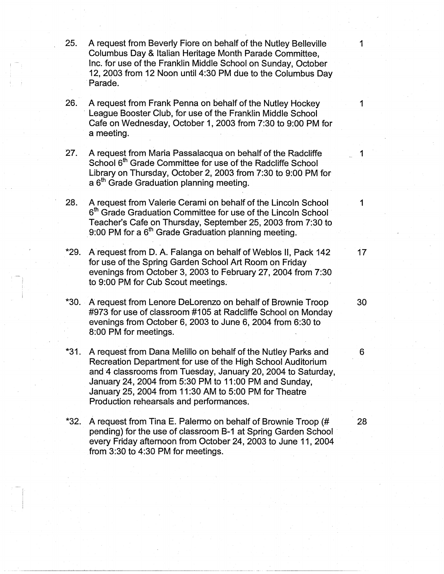- 25. A request from Beverly Fiore on behalf of the Nutley Belleville 1 Columbus Day & Italian Heritage Month Parade Committee, Inc. for use of the Franklin Middle School on Sunday, October 12, 2003 from 12 Noon until 4:30 PM due to the Columbus Day Parade.
- **26.** A request from Frank Penna on behalf of the Nutley Hockey 1 League Booster Club, for use of the Franklin Middle School Cafe on Wednesday, October 1, 2003 from 7:30 to 9:00 PM for a meeting.
- **27.** A request from Maria Passalacqua on behalf of the Radcliffe 1 School 6<sup>th</sup> Grade Committee for use of the Radcliffe School Library on Thursday, October 2, 2003 from 7:30 to 9:00 PM for a 6<sup>th</sup> Grade Graduation planning meeting.
- **28.** A request from Valerie Cerami on behalf of the Lincoln School 1  $6<sup>th</sup>$  Grade Graduation Committee for use of the Lincoln School Teacher's Cafe on Thursday, September 25, 2003 from 7:30 to 9:00 PM for a  $6<sup>th</sup>$  Grade Graduation planning meeting.
- **\*29.** A request from D. A. Falanga on behalf of Weblos 11, Pack 142 17 for use of the Spring Garden School Art Room on Friday evenings from October 3, 2003 to February 27, 2004 from 7:30 to 9:00 PM for Cub Scout meetings .
- \*30. . A request from Lenore Delorenzo on behalf of Brownie Troop **30**  #973 for use of classroom #105 at Radcliffe School on Monday evenings from October 6, 2003 to June 6, 2004 from 6:30 to 8:00 PM for meetings.
- **\*31.** A request from Dana M\_elillo on behalf of the Nutley Parks and 6 Recreation Department for use of the High School Auditorium and 4 classrooms from Tuesday, January 20, 2004 to Saturday, January 24, 2004 from 5:30 PM to 11 :00 PM and Sunday, January 25, 2004 from 11 :30 AM to 5:00 PM for Theatre Production rehearsals and performances.
- **\*32.** A request from Tina E. Palermo on behalf of Brownie Troop (# **28**  pending) for the use of classroom 8-1 at Spring Garden School every Friday afternoon from October 24, 2003 to June 11, 2004 from 3:30 to 4:30 PM for meetings.

--~-----~-------- ----~------·------"·----· ·-·---·-------

I